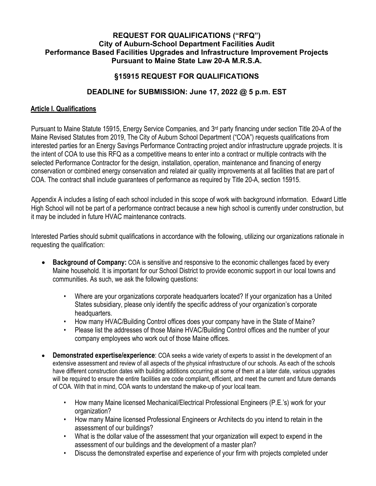#### **REQUEST FOR QUALIFICATIONS ("RFQ") City of Auburn-School Department Facilities Audit Performance Based Facilities Upgrades and Infrastructure Improvement Projects Pursuant to Maine State Law 20-A M.R.S.A.**

# **§15915 REQUEST FOR QUALIFICATIONS**

### **DEADLINE for SUBMISSION: June 17, 2022 @ 5 p.m. EST**

### **Article I. Qualifications**

Pursuant to Maine Statute 15915, Energy Service Companies, and 3rd party financing under section Title 20-A of the Maine Revised Statutes from 2019, The City of Auburn School Department ("COA") requests qualifications from interested parties for an Energy Savings Performance Contracting project and/or infrastructure upgrade projects. It is the intent of COA to use this RFQ as a competitive means to enter into a contract or multiple contracts with the selected Performance Contractor for the design, installation, operation, maintenance and financing of energy conservation or combined energy conservation and related air quality improvements at all facilities that are part of COA. The contract shall include guarantees of performance as required by Title 20-A, section 15915.

Appendix A includes a listing of each school included in this scope of work with background information. Edward Little High School will not be part of a performance contract because a new high school is currently under construction, but it may be included in future HVAC maintenance contracts.

Interested Parties should submit qualifications in accordance with the following, utilizing our organizations rationale in requesting the qualification:

- **Background of Company:** COA is sensitive and responsive to the economic challenges faced by every Maine household. It is important for our School District to provide economic support in our local towns and communities. As such, we ask the following questions:
	- Where are your organizations corporate headquarters located? If your organization has a United States subsidiary, please only identify the specific address of your organization's corporate headquarters.
	- How many HVAC/Building Control offices does your company have in the State of Maine?
	- Please list the addresses of those Maine HVAC/Building Control offices and the number of your company employees who work out of those Maine offices.
- **Demonstrated expertise/experience**: COA seeks a wide variety of experts to assist in the development of an extensive assessment and review of all aspects of the physical infrastructure of our schools. As each of the schools have different construction dates with building additions occurring at some of them at a later date, various upgrades will be required to ensure the entire facilities are code compliant, efficient, and meet the current and future demands of COA. With that in mind, COA wants to understand the make-up of your local team.
	- How many Maine licensed Mechanical/Electrical Professional Engineers (P.E.'s) work for your organization?
	- How many Maine licensed Professional Engineers or Architects do you intend to retain in the assessment of our buildings?
	- What is the dollar value of the assessment that your organization will expect to expend in the assessment of our buildings and the development of a master plan?
	- Discuss the demonstrated expertise and experience of your firm with projects completed under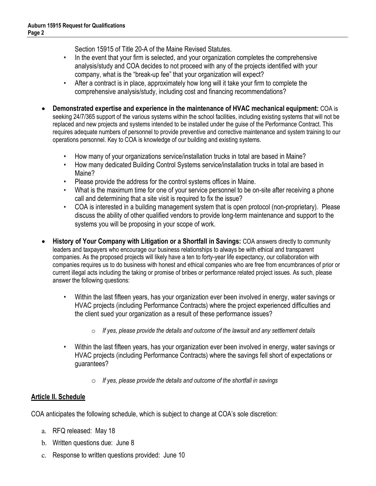Section 15915 of Title 20-A of the Maine Revised Statutes.

- In the event that your firm is selected, and your organization completes the comprehensive analysis/study and COA decides to not proceed with any of the projects identified with your company, what is the "break-up fee" that your organization will expect?
- After a contract is in place, approximately how long will it take your firm to complete the comprehensive analysis/study, including cost and financing recommendations?
- **Demonstrated expertise and experience in the maintenance of HVAC mechanical equipment:** COA is seeking 24/7/365 support of the various systems within the school facilities, including existing systems that will not be replaced and new projects and systems intended to be installed under the guise of the Performance Contract. This requires adequate numbers of personnel to provide preventive and corrective maintenance and system training to our operations personnel. Key to COA is knowledge of our building and existing systems.
	- How many of your organizations service/installation trucks in total are based in Maine?
	- How many dedicated Building Control Systems service/installation trucks in total are based in Maine?
	- Please provide the address for the control systems offices in Maine.
	- What is the maximum time for one of your service personnel to be on-site after receiving a phone call and determining that a site visit is required to fix the issue?
	- COA is interested in a building management system that is open protocol (non-proprietary). Please discuss the ability of other qualified vendors to provide long-term maintenance and support to the systems you will be proposing in your scope of work.
- **History of Your Company with Litigation or a Shortfall in Savings:** COA answers directly to community leaders and taxpayers who encourage our business relationships to always be with ethical and transparent companies. As the proposed projects will likely have a ten to forty-year life expectancy, our collaboration with companies requires us to do business with honest and ethical companies who are free from encumbrances of prior or current illegal acts including the taking or promise of bribes or performance related project issues. As such, please answer the following questions:
	- Within the last fifteen years, has your organization ever been involved in energy, water savings or HVAC projects (including Performance Contracts) where the project experienced difficulties and the client sued your organization as a result of these performance issues?
		- o *If yes, please provide the details and outcome of the lawsuit and any settlement details*
	- Within the last fifteen years, has your organization ever been involved in energy, water savings or HVAC projects (including Performance Contracts) where the savings fell short of expectations or guarantees?
		- o *If yes, please provide the details and outcome of the shortfall in savings*

### **Article II. Schedule**

COA anticipates the following schedule, which is subject to change at COA's sole discretion:

- a. RFQ released: May 18
- b. Written questions due: June 8
- c. Response to written questions provided: June 10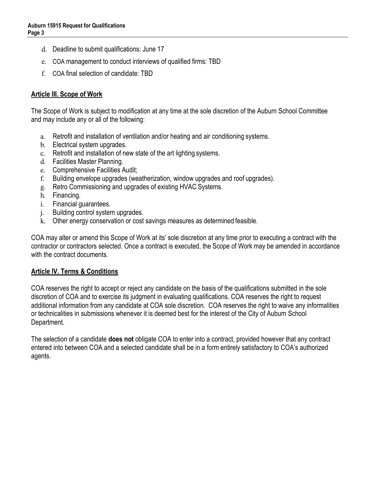- d. Deadline to submit qualifications: June 17
- e. COA management to conduct interviews of qualified firms: TBD
- f. COA final selection of candidate: TBD

# **Article III. Scope of Work**

The Scope of Work is subject to modification at any time at the sole discretion of the Auburn School Committee and may include any or all of the following:

- a. Retrofit and installation of ventilation and/or heating and air conditioning systems.
- b. Electrical system upgrades.
- c. Retrofit and installation of new state of the art lighting systems.
- d. Facilities Master Planning.
- e. Comprehensive Facilities Audit;
- f. Building envelope upgrades (weatherization, window upgrades and roof upgrades).
- g. Retro Commissioning and upgrades of existing HVAC Systems.
- h. Financing.
- i. Financial guarantees.
- j. Building control system upgrades.
- k. Other energy conservation or cost savings measures as determined feasible.

COA may alter or amend this Scope of Work at its' sole discretion at any time prior to executing a contract with the contractor or contractors selected. Once a contract is executed, the Scope of Work may be amended in accordance with the contract documents.

### **Article IV. Terms & Conditions**

COA reserves the right to accept or reject any candidate on the basis of the qualifications submitted in the sole discretion of COA and to exercise its judgment in evaluating qualifications. COA reserves the right to request additional information from any candidate at COA sole discretion. COA reserves the right to waive any informalities or technicalities in submissions whenever it is deemed best for the interest of the City of Auburn School Department.

The selection of a candidate **does not** obligate COA to enter into a contract, provided however that any contract entered into between COA and a selected candidate shall be in a form entirely satisfactory to COA's authorized agents.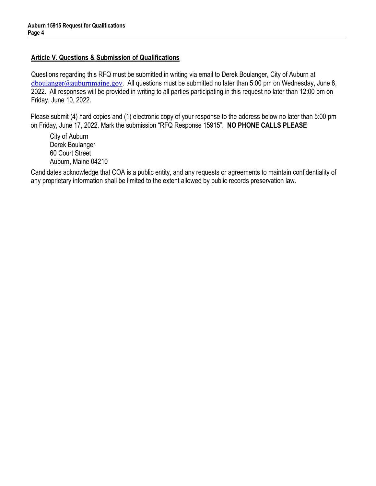### **Article V. Questions & Submission of Qualifications**

Questions regarding this RFQ must be submitted in writing via email to Derek Boulanger, City of Auburn at  $\frac{\text{d} \text{b} \text{o} \text{u}}{\text{d} \text{b} \text{o} \text{u}}$  auburnmaine.gov. All questions must be submitted no later than 5:00 pm on Wednesday, June 8, 2022. All responses will be provided in writing to all parties participating in this request no later than 12:00 pm on Friday, June 10, 2022.

Please submit (4) hard copies and (1) electronic copy of your response to the address below no later than 5:00 pm on Friday, June 17, 2022. Mark the submission "RFQ Response 15915". **NO PHONE CALLS PLEASE**

City of Auburn Derek Boulanger 60 Court Street Auburn, Maine 04210

Candidates acknowledge that COA is a public entity, and any requests or agreements to maintain confidentiality of any proprietary information shall be limited to the extent allowed by public records preservation law.